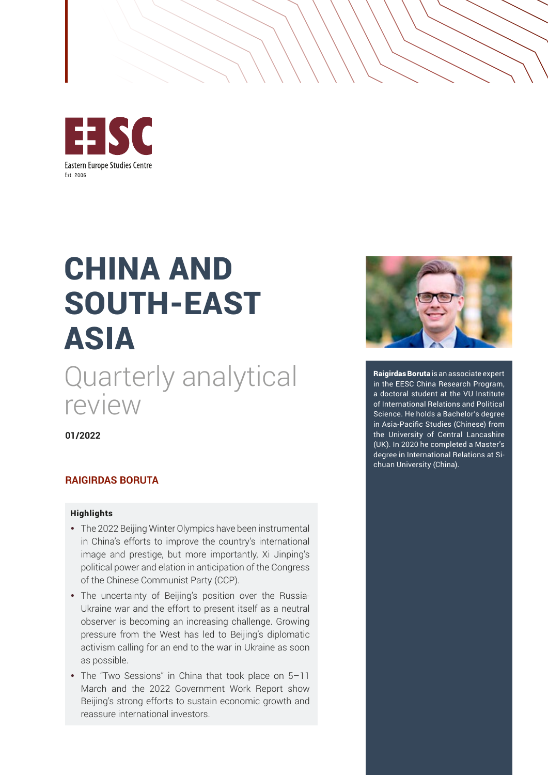

# CHINA AND SOUTH-EAST ASIA

Quarterly analytical review

**01/2022**

#### **RAIGIRDAS BORUTA**

#### **Highlights**

- The 2022 Beijing Winter Olympics have been instrumental in China's efforts to improve the country's international image and prestige, but more importantly, Xi Jinping's political power and elation in anticipation of the Congress of the Chinese Communist Party (CCP).
- The uncertainty of Beijing's position over the Russia-Ukraine war and the effort to present itself as a neutral observer is becoming an increasing challenge. Growing pressure from the West has led to Beijing's diplomatic activism calling for an end to the war in Ukraine as soon as possible.
- The "Two Sessions" in China that took place on 5-11 March and the 2022 Government Work Report show Beijing's strong efforts to sustain economic growth and reassure international investors.



Raigirdas Boruta is an associate expert in the EESC China Research Program, a doctoral student at the VU Institute of International Relations and Political Science. He holds a Bachelor's degree in Asia-Pacific Studies (Chinese) from the University of Central Lancashire (UK). In 2020 he completed a Master's degree in International Relations at Sichuan University (China).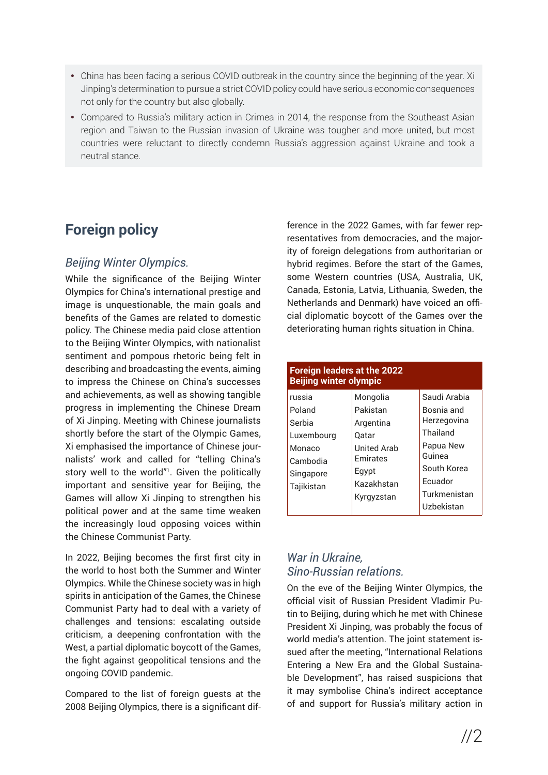- China has been facing a serious COVID outbreak in the country since the beginning of the year. Xi Jinping's determination to pursue a strict COVID policy could have serious economic consequences not only for the country but also globally.
- Compared to Russia's military action in Crimea in 2014, the response from the Southeast Asian region and Taiwan to the Russian invasion of Ukraine was tougher and more united, but most countries were reluctant to directly condemn Russia's aggression against Ukraine and took a neutral stance.

# **Foreign policy**

## *Beijing Winter Olympics.*

While the significance of the Beijing Winter Olympics for China's international prestige and image is unquestionable, the main goals and benefits of the Games are related to domestic policy. The Chinese media paid close attention to the Beijing Winter Olympics, with nationalist sentiment and pompous rhetoric being felt in describing and broadcasting the events, aiming to impress the Chinese on China's successes and achievements, as well as showing tangible progress in implementing the Chinese Dream of Xi Jinping. Meeting with Chinese journalists shortly before the start of the Olympic Games, Xi emphasised the importance of Chinese journalists' work and called for "telling China's story well to the world"<sup>1</sup>. Given the politically important and sensitive year for Beijing, the Games will allow Xi Jinping to strengthen his political power and at the same time weaken the increasingly loud opposing voices within the Chinese Communist Party.

In 2022, Beijing becomes the first first city in the world to host both the Summer and Winter Olympics. While the Chinese society was in high spirits in anticipation of the Games, the Chinese Communist Party had to deal with a variety of challenges and tensions: escalating outside criticism, a deepening confrontation with the West, a partial diplomatic boycott of the Games, the fight against geopolitical tensions and the ongoing COVID pandemic.

Compared to the list of foreign guests at the 2008 Beijing Olympics, there is a significant difference in the 2022 Games, with far fewer representatives from democracies, and the majority of foreign delegations from authoritarian or hybrid regimes. Before the start of the Games, some Western countries (USA, Australia, UK, Canada, Estonia, Latvia, Lithuania, Sweden, the Netherlands and Denmark) have voiced an official diplomatic boycott of the Games over the deteriorating human rights situation in China.

| <b>Foreign leaders at the 2022</b><br><b>Beijing winter olympic</b>                       |                                                                                                                          |                                                                                                                                      |
|-------------------------------------------------------------------------------------------|--------------------------------------------------------------------------------------------------------------------------|--------------------------------------------------------------------------------------------------------------------------------------|
| russia<br>Poland<br>Serbia<br>Luxembourg<br>Monaco<br>Cambodia<br>Singapore<br>Tajikistan | Mongolia<br>Pakistan<br>Argentina<br>Oatar<br><b>United Arab</b><br><b>Emirates</b><br>Egypt<br>Kazakhstan<br>Kyrgyzstan | Saudi Arabia<br>Bosnia and<br>Herzegovina<br>Thailand<br>Papua New<br>Guinea<br>South Korea<br>Ecuador<br>Turkmenistan<br>Uzbekistan |

#### *War in Ukraine, Sino-Russian relations.*

On the eve of the Beijing Winter Olympics, the official visit of Russian President Vladimir Putin to Beijing, during which he met with Chinese President Xi Jinping, was probably the focus of world media's attention. The joint statement issued after the meeting, "International Relations Entering a New Era and the Global Sustainable Development", has raised suspicions that it may symbolise China's indirect acceptance of and support for Russia's military action in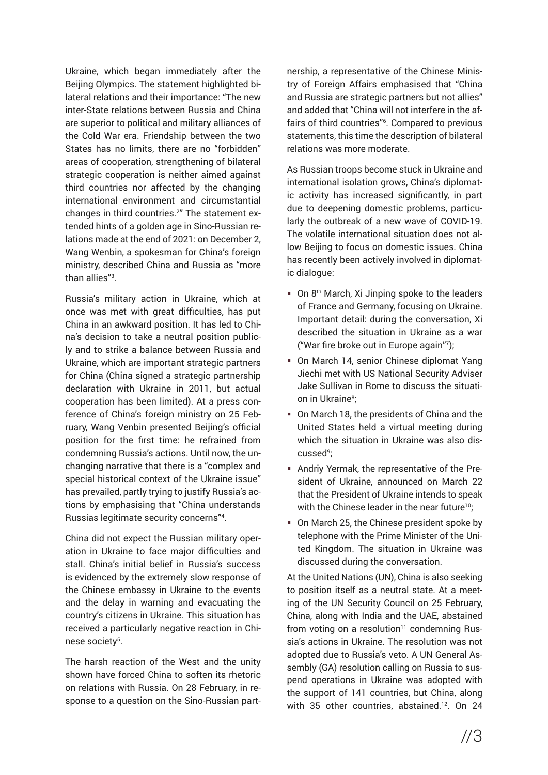Ukraine, which began immediately after the Beijing Olympics. The statement highlighted bilateral relations and their importance: "The new inter-State relations between Russia and China are superior to political and military alliances of the Cold War era. Friendship between the two States has no limits, there are no "forbidden" areas of cooperation, strengthening of bilateral strategic cooperation is neither aimed against third countries nor affected by the changing international environment and circumstantial changes in third countries.<sup>2</sup> " The statement extended hints of a golden age in Sino-Russian relations made at the end of 2021: on December 2, Wang Wenbin, a spokesman for China's foreign ministry, described China and Russia as "more than allies"<sup>3</sup> .

Russia's military action in Ukraine, which at once was met with great difficulties, has put China in an awkward position. It has led to China's decision to take a neutral position publicly and to strike a balance between Russia and Ukraine, which are important strategic partners for China (China signed a strategic partnership declaration with Ukraine in 2011, but actual cooperation has been limited). At a press conference of China's foreign ministry on 25 February, Wang Venbin presented Beijing's official position for the first time: he refrained from condemning Russia's actions. Until now, the unchanging narrative that there is a "complex and special historical context of the Ukraine issue" has prevailed, partly trying to justify Russia's actions by emphasising that "China understands Russias legitimate security concerns"<sup>4</sup> .

China did not expect the Russian military operation in Ukraine to face major difficulties and stall. China's initial belief in Russia's success is evidenced by the extremely slow response of the Chinese embassy in Ukraine to the events and the delay in warning and evacuating the country's citizens in Ukraine. This situation has received a particularly negative reaction in Chinese society<sup>5</sup>.

The harsh reaction of the West and the unity shown have forced China to soften its rhetoric on relations with Russia. On 28 February, in response to a question on the Sino-Russian partnership, a representative of the Chinese Ministry of Foreign Affairs emphasised that "China and Russia are strategic partners but not allies" and added that "China will not interfere in the affairs of third countries"<sup>6</sup> . Compared to previous statements, this time the description of bilateral relations was more moderate.

As Russian troops become stuck in Ukraine and international isolation grows, China's diplomatic activity has increased significantly, in part due to deepening domestic problems, particularly the outbreak of a new wave of COVID-19. The volatile international situation does not allow Beijing to focus on domestic issues. China has recently been actively involved in diplomatic dialogue:

- $\blacksquare$  On 8<sup>th</sup> March, Xi Jinping spoke to the leaders of France and Germany, focusing on Ukraine. Important detail: during the conversation, Xi described the situation in Ukraine as a war ("War fire broke out in Europe again"<sup>7</sup> );
- On March 14, senior Chinese diplomat Yang Jiechi met with US National Security Adviser Jake Sullivan in Rome to discuss the situation in Ukraine<sup>8</sup>;
- On March 18, the presidents of China and the United States held a virtual meeting during which the situation in Ukraine was also discussed<sup>9</sup> ;
- Andriy Yermak, the representative of the President of Ukraine, announced on March 22 that the President of Ukraine intends to speak with the Chinese leader in the near future<sup>10</sup>;
- On March 25, the Chinese president spoke by telephone with the Prime Minister of the United Kingdom. The situation in Ukraine was discussed during the conversation.

At the United Nations (UN), China is also seeking to position itself as a neutral state. At a meeting of the UN Security Council on 25 February, China, along with India and the UAE, abstained from voting on a resolution $11$  condemning Russia's actions in Ukraine. The resolution was not adopted due to Russia's veto. A UN General Assembly (GA) resolution calling on Russia to suspend operations in Ukraine was adopted with the support of 141 countries, but China, along with 35 other countries, abstained.<sup>12</sup>. On 24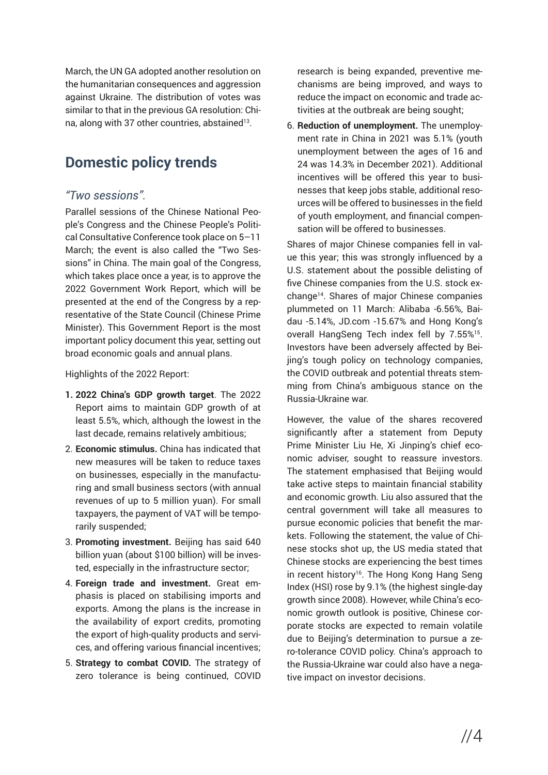March, the UN GA adopted another resolution on the humanitarian consequences and aggression against Ukraine. The distribution of votes was similar to that in the previous GA resolution: China, along with 37 other countries, abstained<sup>13</sup>.

# **Domestic policy trends**

#### *"Two sessions".*

Parallel sessions of the Chinese National People's Congress and the Chinese People's Political Consultative Conference took place on 5–11 March; the event is also called the "Two Sessions" in China. The main goal of the Congress, which takes place once a year, is to approve the 2022 Government Work Report, which will be presented at the end of the Congress by a representative of the State Council (Chinese Prime Minister). This Government Report is the most important policy document this year, setting out broad economic goals and annual plans.

Highlights of the 2022 Report:

- **1. 2022 China's GDP growth target**. The 2022 Report aims to maintain GDP growth of at least 5.5%, which, although the lowest in the last decade, remains relatively ambitious;
- 2. **Economic stimulus.** China has indicated that new measures will be taken to reduce taxes on businesses, especially in the manufacturing and small business sectors (with annual revenues of up to 5 million yuan). For small taxpayers, the payment of VAT will be temporarily suspended;
- 3. **Promoting investment.** Beijing has said 640 billion yuan (about \$100 billion) will be invested, especially in the infrastructure sector;
- 4. **Foreign trade and investment.** Great emphasis is placed on stabilising imports and exports. Among the plans is the increase in the availability of export credits, promoting the export of high-quality products and services, and offering various financial incentives;
- 5. **Strategy to combat COVID.** The strategy of zero tolerance is being continued, COVID

research is being expanded, preventive mechanisms are being improved, and ways to reduce the impact on economic and trade activities at the outbreak are being sought;

6. **Reduction of unemployment.** The unemployment rate in China in 2021 was 5.1% (youth unemployment between the ages of 16 and 24 was 14.3% in December 2021). Additional incentives will be offered this year to businesses that keep jobs stable, additional resources will be offered to businesses in the field of youth employment, and financial compensation will be offered to businesses.

Shares of major Chinese companies fell in value this year; this was strongly influenced by a U.S. statement about the possible delisting of five Chinese companies from the U.S. stock exchange14. Shares of major Chinese companies plummeted on 11 March: Alibaba -6.56%, Baidau -5.14%, JD.com -15.67% and Hong Kong's overall HangSeng Tech index fell by 7.55%15. Investors have been adversely affected by Beijing's tough policy on technology companies, the COVID outbreak and potential threats stemming from China's ambiguous stance on the Russia-Ukraine war.

However, the value of the shares recovered significantly after a statement from Deputy Prime Minister Liu He, Xi Jinping's chief economic adviser, sought to reassure investors. The statement emphasised that Beijing would take active steps to maintain financial stability and economic growth. Liu also assured that the central government will take all measures to pursue economic policies that benefit the markets. Following the statement, the value of Chinese stocks shot up, the US media stated that Chinese stocks are experiencing the best times in recent history<sup>16</sup>. The Hong Kong Hang Seng Index (HSI) rose by 9.1% (the highest single-day growth since 2008). However, while China's economic growth outlook is positive, Chinese corporate stocks are expected to remain volatile due to Beijing's determination to pursue a zero-tolerance COVID policy. China's approach to the Russia-Ukraine war could also have a negative impact on investor decisions.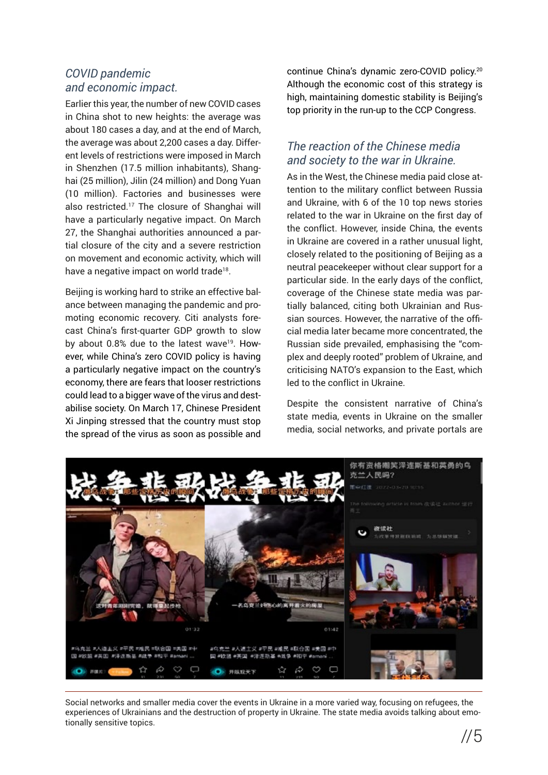## *COVID pandemic and economic impact.*

Earlier this year, the number of new COVID cases in China shot to new heights: the average was about 180 cases a day, and at the end of March, the average was about 2,200 cases a day. Different levels of restrictions were imposed in March in Shenzhen (17.5 million inhabitants), Shanghai (25 million), Jilin (24 million) and Dong Yuan (10 million). Factories and businesses were also restricted.17 The closure of Shanghai will have a particularly negative impact. On March 27, the Shanghai authorities announced a partial closure of the city and a severe restriction on movement and economic activity, which will have a negative impact on world trade<sup>18</sup>.

Beijing is working hard to strike an effective balance between managing the pandemic and promoting economic recovery. Citi analysts forecast China's first-quarter GDP growth to slow by about 0.8% due to the latest wave<sup>19</sup>. However, while China's zero COVID policy is having a particularly negative impact on the country's economy, there are fears that looser restrictions could lead to a bigger wave of the virus and destabilise society. On March 17, Chinese President Xi Jinping stressed that the country must stop the spread of the virus as soon as possible and continue China's dynamic zero-COVID policy.20 Although the economic cost of this strategy is high, maintaining domestic stability is Beijing's top priority in the run-up to the CCP Congress.

## *The reaction of the Chinese media and society to the war in Ukraine.*

As in the West, the Chinese media paid close attention to the military conflict between Russia and Ukraine, with 6 of the 10 top news stories related to the war in Ukraine on the first day of the conflict. However, inside China, the events in Ukraine are covered in a rather unusual light, closely related to the positioning of Beijing as a neutral peacekeeper without clear support for a particular side. In the early days of the conflict, coverage of the Chinese state media was partially balanced, citing both Ukrainian and Russian sources. However, the narrative of the official media later became more concentrated, the Russian side prevailed, emphasising the "complex and deeply rooted" problem of Ukraine, and criticising NATO's expansion to the East, which led to the conflict in Ukraine.

Despite the consistent narrative of China's state media, events in Ukraine on the smaller media, social networks, and private portals are



Social networks and smaller media cover the events in Ukraine in a more varied way, focusing on refugees, the experiences of Ukrainians and the destruction of property in Ukraine. The state media avoids talking about emotionally sensitive topics.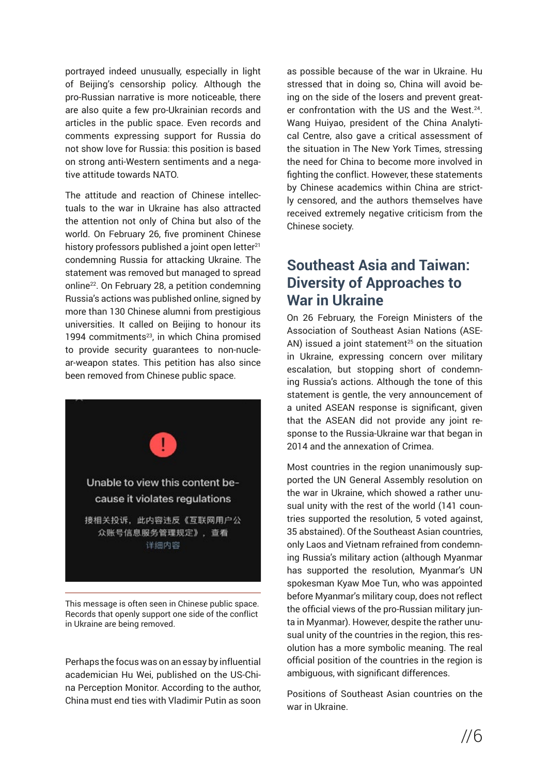portrayed indeed unusually, especially in light of Beijing's censorship policy. Although the pro-Russian narrative is more noticeable, there are also quite a few pro-Ukrainian records and articles in the public space. Even records and comments expressing support for Russia do not show love for Russia: this position is based on strong anti-Western sentiments and a negative attitude towards NATO.

The attitude and reaction of Chinese intellectuals to the war in Ukraine has also attracted the attention not only of China but also of the world. On February 26, five prominent Chinese history professors published a joint open letter<sup>21</sup> condemning Russia for attacking Ukraine. The statement was removed but managed to spread online22. On February 28, a petition condemning Russia's actions was published online, signed by more than 130 Chinese alumni from prestigious universities. It called on Beijing to honour its 1994 commitments<sup>23</sup>, in which China promised to provide security guarantees to non-nuclear-weapon states. This petition has also since been removed from Chinese public space.



This message is often seen in Chinese public space. Records that openly support one side of the conflict in Ukraine are being removed.

Perhaps the focus was on an essay by influential academician Hu Wei, published on the US-China Perception Monitor. According to the author, China must end ties with Vladimir Putin as soon as possible because of the war in Ukraine. Hu stressed that in doing so, China will avoid being on the side of the losers and prevent greater confrontation with the US and the West.<sup>24</sup>. Wang Huiyao, president of the China Analytical Centre, also gave a critical assessment of the situation in The New York Times, stressing the need for China to become more involved in fighting the conflict. However, these statements by Chinese academics within China are strictly censored, and the authors themselves have received extremely negative criticism from the Chinese society.

## **Southeast Asia and Taiwan: Diversity of Approaches to War in Ukraine**

On 26 February, the Foreign Ministers of the Association of Southeast Asian Nations (ASE-AN) issued a joint statement<sup> $25$ </sup> on the situation in Ukraine, expressing concern over military escalation, but stopping short of condemning Russia's actions. Although the tone of this statement is gentle, the very announcement of a united ASEAN response is significant, given that the ASEAN did not provide any joint response to the Russia-Ukraine war that began in 2014 and the annexation of Crimea.

Most countries in the region unanimously supported the UN General Assembly resolution on the war in Ukraine, which showed a rather unusual unity with the rest of the world (141 countries supported the resolution, 5 voted against, 35 abstained). Of the Southeast Asian countries, only Laos and Vietnam refrained from condemning Russia's military action (although Myanmar has supported the resolution, Myanmar's UN spokesman Kyaw Moe Tun, who was appointed before Myanmar's military coup, does not reflect the official views of the pro-Russian military junta in Myanmar). However, despite the rather unusual unity of the countries in the region, this resolution has a more symbolic meaning. The real official position of the countries in the region is ambiguous, with significant differences.

Positions of Southeast Asian countries on the war in Ukraine.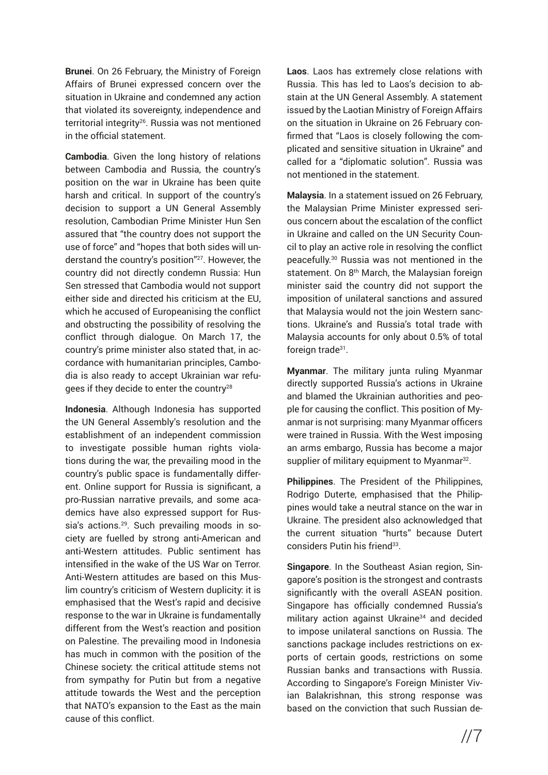**Brunei**. On 26 February, the Ministry of Foreign Affairs of Brunei expressed concern over the situation in Ukraine and condemned any action that violated its sovereignty, independence and territorial integrity26. Russia was not mentioned in the official statement.

**Cambodia**. Given the long history of relations between Cambodia and Russia, the country's position on the war in Ukraine has been quite harsh and critical. In support of the country's decision to support a UN General Assembly resolution, Cambodian Prime Minister Hun Sen assured that "the country does not support the use of force" and "hopes that both sides will understand the country's position"27. However, the country did not directly condemn Russia: Hun Sen stressed that Cambodia would not support either side and directed his criticism at the EU, which he accused of Europeanising the conflict and obstructing the possibility of resolving the conflict through dialogue. On March 17, the country's prime minister also stated that, in accordance with humanitarian principles, Cambodia is also ready to accept Ukrainian war refugees if they decide to enter the country<sup>28</sup>

**Indonesia**. Although Indonesia has supported the UN General Assembly's resolution and the establishment of an independent commission to investigate possible human rights violations during the war, the prevailing mood in the country's public space is fundamentally different. Online support for Russia is significant, a pro-Russian narrative prevails, and some academics have also expressed support for Russia's actions.<sup>29</sup>. Such prevailing moods in society are fuelled by strong anti-American and anti-Western attitudes. Public sentiment has intensified in the wake of the US War on Terror. Anti-Western attitudes are based on this Muslim country's criticism of Western duplicity: it is emphasised that the West's rapid and decisive response to the war in Ukraine is fundamentally different from the West's reaction and position on Palestine. The prevailing mood in Indonesia has much in common with the position of the Chinese society: the critical attitude stems not from sympathy for Putin but from a negative attitude towards the West and the perception that NATO's expansion to the East as the main cause of this conflict.

**Laos**. Laos has extremely close relations with Russia. This has led to Laos's decision to abstain at the UN General Assembly. A statement issued by the Laotian Ministry of Foreign Affairs on the situation in Ukraine on 26 February confirmed that "Laos is closely following the complicated and sensitive situation in Ukraine" and called for a "diplomatic solution". Russia was not mentioned in the statement.

**Malaysia**. In a statement issued on 26 February, the Malaysian Prime Minister expressed serious concern about the escalation of the conflict in Ukraine and called on the UN Security Council to play an active role in resolving the conflict peacefully.30 Russia was not mentioned in the statement. On 8<sup>th</sup> March, the Malaysian foreign minister said the country did not support the imposition of unilateral sanctions and assured that Malaysia would not the join Western sanctions. Ukraine's and Russia's total trade with Malaysia accounts for only about 0.5% of total foreign trade<sup>31</sup>.

**Myanmar**. The military junta ruling Myanmar directly supported Russia's actions in Ukraine and blamed the Ukrainian authorities and people for causing the conflict. This position of Myanmar is not surprising: many Myanmar officers were trained in Russia. With the West imposing an arms embargo, Russia has become a major supplier of military equipment to Myanmar<sup>32</sup>.

**Philippines**. The President of the Philippines, Rodrigo Duterte, emphasised that the Philippines would take a neutral stance on the war in Ukraine. The president also acknowledged that the current situation "hurts" because Dutert considers Putin his friend<sup>33</sup>.

**Singapore**. In the Southeast Asian region, Singapore's position is the strongest and contrasts significantly with the overall ASEAN position. Singapore has officially condemned Russia's military action against Ukraine<sup>34</sup> and decided to impose unilateral sanctions on Russia. The sanctions package includes restrictions on exports of certain goods, restrictions on some Russian banks and transactions with Russia. According to Singapore's Foreign Minister Vivian Balakrishnan, this strong response was based on the conviction that such Russian de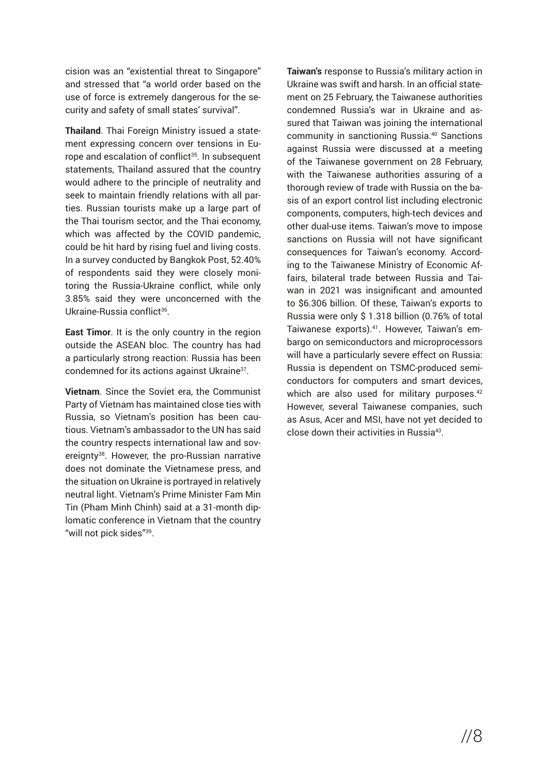cision was an "existential threat to Singapore" and stressed that "a world order based on the use of force is extremely dangerous for the security and safety of small states' survival".

**Thailand**. Thai Foreign Ministry issued a statement expressing concern over tensions in Europe and escalation of conflict<sup>35</sup>. In subsequent statements, Thailand assured that the country would adhere to the principle of neutrality and seek to maintain friendly relations with all parties. Russian tourists make up a large part of the Thai tourism sector, and the Thai economy, which was affected by the COVID pandemic, could be hit hard by rising fuel and living costs. In a survey conducted by Bangkok Post, 52.40% of respondents said they were closely monitoring the Russia-Ukraine conflict, while only 3.85% said they were unconcerned with the Ukraine-Russia conflict36.

**East Timor**. It is the only country in the region outside the ASEAN bloc. The country has had a particularly strong reaction: Russia has been condemned for its actions against Ukraine<sup>37</sup>.

**Vietnam**. Since the Soviet era, the Communist Party of Vietnam has maintained close ties with Russia, so Vietnam's position has been cautious. Vietnam's ambassador to the UN has said the country respects international law and sovereignty<sup>38</sup>. However, the pro-Russian narrative does not dominate the Vietnamese press, and the situation on Ukraine is portrayed in relatively neutral light. Vietnam's Prime Minister Fam Min Tin (Pham Minh Chinh) said at a 31-month diplomatic conference in Vietnam that the country "will not pick sides"<sup>39</sup>.

**Taiwan's** response to Russia's military action in Ukraine was swift and harsh. In an official statement on 25 February, the Taiwanese authorities condemned Russia's war in Ukraine and assured that Taiwan was joining the international community in sanctioning Russia.<sup>40</sup> Sanctions against Russia were discussed at a meeting of the Taiwanese government on 28 February, with the Taiwanese authorities assuring of a thorough review of trade with Russia on the basis of an export control list including electronic components, computers, high-tech devices and other dual-use items. Taiwan's move to impose sanctions on Russia will not have significant consequences for Taiwan's economy. According to the Taiwanese Ministry of Economic Affairs, bilateral trade between Russia and Taiwan in 2021 was insignificant and amounted to \$6.306 billion. Of these, Taiwan's exports to Russia were only \$ 1.318 billion (0.76% of total Taiwanese exports).41. However, Taiwan's embargo on semiconductors and microprocessors will have a particularly severe effect on Russia: Russia is dependent on TSMC-produced semiconductors for computers and smart devices, which are also used for military purposes.<sup>42</sup> However, several Taiwanese companies, such as Asus, Acer and MSI, have not yet decided to close down their activities in Russia43.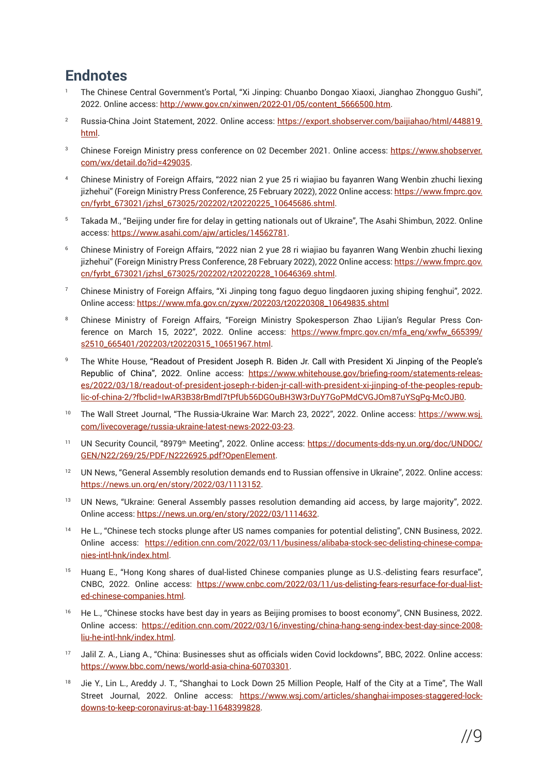## **Endnotes**

- <sup>1</sup>The Chinese Central Government's Portal, "Xi Jinping: Chuanbo Dongao Xiaoxi, Jianghao Zhongguo Gushi", 2022. Online access: [http://www.gov.cn/xinwen/2022-01/05/content\\_5666500.htm](http://www.gov.cn/xinwen/2022-01/05/content_5666500.htm).
- 2 Russia-China Joint Statement, 2022. Online access: [https://export.shobserver.com/baijiahao/html/448819.](https://export.shobserver.com/baijiahao/html/448819.html) [html](https://export.shobserver.com/baijiahao/html/448819.html).
- Chinese Foreign Ministry press conference on 02 December 2021. Online access: [https://www.shobserver.](https://www.shobserver.com/wx/detail.do?id=429035) [com/wx/detail.do?id=429035](https://www.shobserver.com/wx/detail.do?id=429035).
- <sup>4</sup>Chinese Ministry of Foreign Affairs, "2022 nian 2 yue 25 ri wiajiao bu fayanren Wang Wenbin zhuchi liexing jizhehui" (Foreign Ministry Press Conference, 25 February 2022), 2022 Online access: [https://www.fmprc.gov.](https://www.fmprc.gov.cn/fyrbt_673021/jzhsl_673025/202202/t20220225_10645686.shtml) [cn/fyrbt\\_673021/jzhsl\\_673025/202202/t20220225\\_10645686.shtml](https://www.fmprc.gov.cn/fyrbt_673021/jzhsl_673025/202202/t20220225_10645686.shtml).
- 5 Takada M., "Beijing under fire for delay in getting nationals out of Ukraine", The Asahi Shimbun, 2022. Online access: <https://www.asahi.com/ajw/articles/14562781>.
- <sup>6</sup>Chinese Ministry of Foreign Affairs, "2022 nian 2 yue 28 ri wiajiao bu fayanren Wang Wenbin zhuchi liexing jizhehui" (Foreign Ministry Press Conference, 28 February 2022), 2022 Online access: [https://www.fmprc.gov.](https://www.fmprc.gov.cn/fyrbt_673021/jzhsl_673025/202202/t20220228_10646369.shtml) [cn/fyrbt\\_673021/jzhsl\\_673025/202202/t20220228\\_10646369.shtml](https://www.fmprc.gov.cn/fyrbt_673021/jzhsl_673025/202202/t20220228_10646369.shtml).
- <sup>7</sup>Chinese Ministry of Foreign Affairs, "Xi Jinping tong faguo deguo lingdaoren juxing shiping fenghui", 2022. Online access: [https://www.mfa.gov.cn/zyxw/202203/t20220308\\_10649835.shtml](https://www.mfa.gov.cn/zyxw/202203/t20220308_10649835.shtml)
- 8 Chinese Ministry of Foreign Affairs, "Foreign Ministry Spokesperson Zhao Lijian's Regular Press Conference on March 15, 2022", 2022. Online access: [https://www.fmprc.gov.cn/mfa\\_eng/xwfw\\_665399/](https://www.fmprc.gov.cn/mfa_eng/xwfw_665399/s2510_665401/202203/t20220315_10651967.html) [s2510\\_665401/202203/t20220315\\_10651967.html](https://www.fmprc.gov.cn/mfa_eng/xwfw_665399/s2510_665401/202203/t20220315_10651967.html).
- <sup>9</sup>The White House, "Readout of President Joseph R. Biden Jr. Call with President Xi Jinping of the People's Republic of China", 2022. Online access: [https://www.whitehouse.gov/briefing-room/statements-releas](https://www.whitehouse.gov/briefing-room/statements-releases/2022/03/18/readout-of-president-joseph-)[es/2022/03/18/readout-of-president-joseph-r-biden-jr-call-with-president-xi-jinping-of-the-peoples-repub](https://www.whitehouse.gov/briefing-room/statements-releases/2022/03/18/readout-of-president-joseph-)[lic-of-china-2/?fbclid=IwAR3B38rBmdl7tPfUb56DGOuBH3W3rDuY7GoPMdCVGJOm87uYSgPg-McOJB0](https://www.whitehouse.gov/briefing-room/statements-releases/2022/03/18/readout-of-president-joseph-).
- The Wall Street Journal, "The Russia-Ukraine War: March 23, 2022", 2022. Online access: [https://www.wsj.](https://www.wsj.com/livecoverage/russia-ukraine-latest-news-2022-03-23) [com/livecoverage/russia-ukraine-latest-news-2022-03-23](https://www.wsj.com/livecoverage/russia-ukraine-latest-news-2022-03-23).
- 11 UN Security Council, "8979<sup>th</sup> Meeting", 2022. Online access: [https://documents-dds-ny.un.org/doc/UNDOC/](https://documents-dds-ny.un.org/doc/UNDOC/GEN/N22/269/25/PDF/N2226925.pdf?OpenElement) [GEN/N22/269/25/PDF/N2226925.pdf?OpenElement](https://documents-dds-ny.un.org/doc/UNDOC/GEN/N22/269/25/PDF/N2226925.pdf?OpenElement).
- <sup>12</sup> UN News, "General Assembly resolution demands end to Russian offensive in Ukraine", 2022. Online access: <https://news.un.org/en/story/2022/03/1113152>.
- <sup>13</sup> UN News, "Ukraine: General Assembly passes resolution demanding aid access, by large majority", 2022. Online access: <https://news.un.org/en/story/2022/03/1114632>.
- <sup>14</sup> He L., "Chinese tech stocks plunge after US names companies for potential delisting", CNN Business, 2022. Online access: [https://edition.cnn.com/2022/03/11/business/alibaba-stock-sec-delisting-chinese-compa](https://edition.cnn.com/2022/03/11/business/alibaba-stock-sec-delisting-chinese-companies-intl-hnk/i)[nies-intl-hnk/index.html](https://edition.cnn.com/2022/03/11/business/alibaba-stock-sec-delisting-chinese-companies-intl-hnk/i).
- <sup>15</sup> Huang E., "Hong Kong shares of dual-listed Chinese companies plunge as U.S.-delisting fears resurface", CNBC, 2022. Online access: [https://www.cnbc.com/2022/03/11/us-delisting-fears-resurface-for-dual-list](https://www.cnbc.com/2022/03/11/us-delisting-fears-resurface-for-dual-listed-chinese-companies.html)[ed-chinese-companies.html.](https://www.cnbc.com/2022/03/11/us-delisting-fears-resurface-for-dual-listed-chinese-companies.html)
- <sup>16</sup>He L., "Chinese stocks have best day in years as Beijing promises to boost economy", CNN Business, 2022. Online access: [https://edition.cnn.com/2022/03/16/investing/china-hang-seng-index-best-day-since-2008](https://edition.cnn.com/2022/03/16/investing/china-hang-seng-index-best-day-since-2008-liu-he-intl-h) [liu-he-intl-hnk/index.html](https://edition.cnn.com/2022/03/16/investing/china-hang-seng-index-best-day-since-2008-liu-he-intl-h).
- 17 Jalil Z. A., Liang A., "China: Businesses shut as officials widen Covid lockdowns", BBC, 2022. Online access: <https://www.bbc.com/news/world-asia-china-60703301>.
- 18 Jie Y., Lin L., Areddy J. T., "Shanghai to Lock Down 25 Million People, Half of the City at a Time", The Wall Street Journal, 2022. Online access: [https://www.wsj.com/articles/shanghai-imposes-staggered-lock](https://www.wsj.com/articles/shanghai-imposes-staggered-lockdowns-to-keep-coronavirus-at-bay-1164839)[downs-to-keep-coronavirus-at-bay-11648399828](https://www.wsj.com/articles/shanghai-imposes-staggered-lockdowns-to-keep-coronavirus-at-bay-1164839).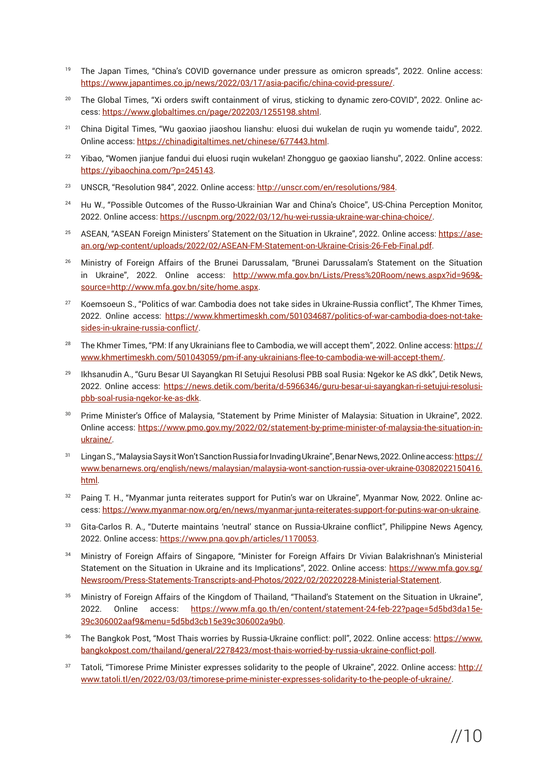- 19 The Japan Times, "China's COVID governance under pressure as omicron spreads", 2022. Online access: <https://www.japantimes.co.jp/news/2022/03/17/asia-pacific/china-covid-pressure/>.
- <sup>20</sup> The Global Times, "Xi orders swift containment of virus, sticking to dynamic zero-COVID", 2022. Online access: <https://www.globaltimes.cn/page/202203/1255198.shtml>.
- 21 China Digital Times, "Wu gaoxiao jiaoshou lianshu: eluosi dui wukelan de ruqin yu womende taidu", 2022. Online access: <https://chinadigitaltimes.net/chinese/677443.html>.
- <sup>22</sup> Yibao, "Women jianjue fandui dui eluosi ruqin wukelan! Zhongguo ge gaoxiao lianshu", 2022. Online access: <https://yibaochina.com/?p=245143>.
- 23 UNSCR, "Resolution 984", 2022. Online access:<http://unscr.com/en/resolutions/984>.
- <sup>24</sup> Hu W., "Possible Outcomes of the Russo-Ukrainian War and China's Choice", US-China Perception Monitor, 2022. Online access: <https://uscnpm.org/2022/03/12/hu-wei-russia-ukraine-war-china-choice/>.
- ASEAN, "ASEAN Foreign Ministers' Statement on the Situation in Ukraine", 2022. Online access: [https://ase](https://asean.org/wp-content/uploads/2022/02/ASEAN-FM-Statement-on-Ukraine-Crisis-26-Feb-Final.pdf)[an.org/wp-content/uploads/2022/02/ASEAN-FM-Statement-on-Ukraine-Crisis-26-Feb-Final.pdf](https://asean.org/wp-content/uploads/2022/02/ASEAN-FM-Statement-on-Ukraine-Crisis-26-Feb-Final.pdf).
- 26 Ministry of Foreign Affairs of the Brunei Darussalam, "Brunei Darussalam's Statement on the Situation in Ukraine", 2022. Online access: [http://www.mfa.gov.bn/Lists/Press%20Room/news.aspx?id=969&](http://www.mfa.gov.bn/Lists/Press%20Room/news.aspx?id=969&source=http://www.mfa.gov.bn/site/home.asp)[source=http://www.mfa.gov.bn/site/home.aspx](http://www.mfa.gov.bn/Lists/Press%20Room/news.aspx?id=969&source=http://www.mfa.gov.bn/site/home.asp).
- <sup>27</sup> Koemsoeun S., "Politics of war: Cambodia does not take sides in Ukraine-Russia conflict", The Khmer Times, 2022. Online access: [https://www.khmertimeskh.com/501034687/politics-of-war-cambodia-does-not-take](https://www.khmertimeskh.com/501034687/politics-of-war-cambodia-does-not-take-sides-in-ukraine-russi)[sides-in-ukraine-russia-conflict/](https://www.khmertimeskh.com/501034687/politics-of-war-cambodia-does-not-take-sides-in-ukraine-russi).
- <sup>28</sup> The Khmer Times, "PM: If any Ukrainians flee to Cambodia, we will accept them", 2022. Online access: [https://](https://www.khmertimeskh.com/501043059/pm-if-any-ukrainians-flee-to-cambodia-we-will-accept-them/) [www.khmertimeskh.com/501043059/pm-if-any-ukrainians-flee-to-cambodia-we-will-accept-them/](https://www.khmertimeskh.com/501043059/pm-if-any-ukrainians-flee-to-cambodia-we-will-accept-them/).
- <sup>29</sup> Ikhsanudin A., "Guru Besar UI Sayangkan RI Setujui Resolusi PBB soal Rusia: Ngekor ke AS dkk", Detik News, 2022. Online access: [https://news.detik.com/berita/d-5966346/guru-besar-ui-sayangkan-ri-setujui-resolusi](https://news.detik.com/berita/d-5966346/guru-besar-ui-sayangkan-ri-setujui-resolusi-pbb-soal-rusia-n)[pbb-soal-rusia-ngekor-ke-as-dkk](https://news.detik.com/berita/d-5966346/guru-besar-ui-sayangkan-ri-setujui-resolusi-pbb-soal-rusia-n).
- <sup>30</sup> Prime Minister's Office of Malaysia, "Statement by Prime Minister of Malaysia: Situation in Ukraine", 2022. Online access: [https://www.pmo.gov.my/2022/02/statement-by-prime-minister-of-malaysia-the-situation-in](https://www.pmo.gov.my/2022/02/statement-by-prime-minister-of-malaysia-the-situation-in-ukraine/)[ukraine/](https://www.pmo.gov.my/2022/02/statement-by-prime-minister-of-malaysia-the-situation-in-ukraine/).
- <sup>31</sup> Lingan S., "Malaysia Says it Won't Sanction Russia for Invading Ukraine", Benar News, 2022. Online access: [https://](https://www.benarnews.org/english/news/malaysian/malaysia-wont-sanction-russia-over-ukraine-03082022) [www.benarnews.org/english/news/malaysian/malaysia-wont-sanction-russia-over-ukraine-03082022150416.](https://www.benarnews.org/english/news/malaysian/malaysia-wont-sanction-russia-over-ukraine-03082022) [html.](https://www.benarnews.org/english/news/malaysian/malaysia-wont-sanction-russia-over-ukraine-03082022)
- 32 Paing T. H., "Myanmar junta reiterates support for Putin's war on Ukraine", Myanmar Now, 2022. Online access: <https://www.myanmar-now.org/en/news/myanmar-junta-reiterates-support-for-putins-war-on-ukraine>.
- Gita-Carlos R. A., "Duterte maintains 'neutral' stance on Russia-Ukraine conflict", Philippine News Agency, 2022. Online access: <https://www.pna.gov.ph/articles/1170053>.
- <sup>34</sup>Ministry of Foreign Affairs of Singapore, "Minister for Foreign Affairs Dr Vivian Balakrishnan's Ministerial Statement on the Situation in Ukraine and its Implications", 2022. Online access: [https://www.mfa.gov.sg/](https://www.mfa.gov.sg/Newsroom/Press-Statements-Transcripts-and-Photos/2022/02/20220228-Ministerial) [Newsroom/Press-Statements-Transcripts-and-Photos/2022/02/20220228-Ministerial-Statement](https://www.mfa.gov.sg/Newsroom/Press-Statements-Transcripts-and-Photos/2022/02/20220228-Ministerial).
- 35 Ministry of Foreign Affairs of the Kingdom of Thailand, "Thailand's Statement on the Situation in Ukraine", 2022. Online access: [https://www.mfa.go.th/en/content/statement-24-feb-22?page=5d5bd3da15e](https://www.mfa.go.th/en/content/statement-24-feb-22?page=5d5bd3da15e39c306002aaf9&menu=5d5bd3cb15e3)-[39c306002aaf9&menu=5d5bd3cb15e39c306002a9b0](https://www.mfa.go.th/en/content/statement-24-feb-22?page=5d5bd3da15e39c306002aaf9&menu=5d5bd3cb15e3).
- The Bangkok Post, "Most Thais worries by Russia-Ukraine conflict: poll", 2022. Online access: [https://www.](https://www.bangkokpost.com/thailand/general/2278423/most-thais-worried-by-russia-ukraine-conflict-p) [bangkokpost.com/thailand/general/2278423/most-thais-worried-by-russia-ukraine-conflict-poll](https://www.bangkokpost.com/thailand/general/2278423/most-thais-worried-by-russia-ukraine-conflict-p).
- Tatoli, "Timorese Prime Minister expresses solidarity to the people of Ukraine", 2022. Online access: [http://](http://www.tatoli.tl/en/2022/03/03/timorese-prime-minister-expresses-solidarity-to-the-people-of-ukr) [www.tatoli.tl/en/2022/03/03/timorese-prime-minister-expresses-solidarity-to-the-people-of-ukraine/](http://www.tatoli.tl/en/2022/03/03/timorese-prime-minister-expresses-solidarity-to-the-people-of-ukr).